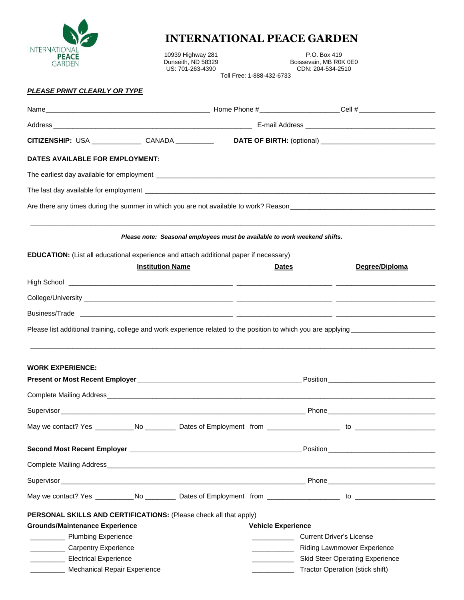

## **INTERNATIONAL PEACE GARDEN**

10939 Highway 281 P.O. Box 419<br>
Dunseith, ND 58329 Boissevain, MB R0<br>
US: 701-263-4390 Dunseith, ND 58329 **Boissevain, MB R0K 0E0** US: 701-263-4390 CDN: 204-534-2510 Toll Free: 1-888-432-6733

## *PLEASE PRINT CLEARLY OR TYPE*

|                                                                                                            |                         | CITIZENSHIP: USA ________________ CANADA __________                       |                                 |                                                                                                                                                                                                                                |
|------------------------------------------------------------------------------------------------------------|-------------------------|---------------------------------------------------------------------------|---------------------------------|--------------------------------------------------------------------------------------------------------------------------------------------------------------------------------------------------------------------------------|
| DATES AVAILABLE FOR EMPLOYMENT:                                                                            |                         |                                                                           |                                 |                                                                                                                                                                                                                                |
|                                                                                                            |                         |                                                                           |                                 |                                                                                                                                                                                                                                |
|                                                                                                            |                         |                                                                           |                                 |                                                                                                                                                                                                                                |
|                                                                                                            |                         |                                                                           |                                 |                                                                                                                                                                                                                                |
|                                                                                                            |                         | Please note: Seasonal employees must be available to work weekend shifts. |                                 |                                                                                                                                                                                                                                |
| <b>EDUCATION:</b> (List all educational experience and attach additional paper if necessary)               |                         |                                                                           |                                 |                                                                                                                                                                                                                                |
|                                                                                                            | <b>Institution Name</b> |                                                                           | <b>Dates</b>                    | Degree/Diploma                                                                                                                                                                                                                 |
|                                                                                                            |                         |                                                                           |                                 |                                                                                                                                                                                                                                |
|                                                                                                            |                         |                                                                           |                                 |                                                                                                                                                                                                                                |
|                                                                                                            |                         |                                                                           |                                 |                                                                                                                                                                                                                                |
|                                                                                                            |                         |                                                                           |                                 |                                                                                                                                                                                                                                |
|                                                                                                            |                         |                                                                           |                                 | Please list additional training, college and work experience related to the position to which you are applying ________________________                                                                                        |
|                                                                                                            |                         |                                                                           |                                 |                                                                                                                                                                                                                                |
| <b>WORK EXPERIENCE:</b>                                                                                    |                         |                                                                           |                                 |                                                                                                                                                                                                                                |
|                                                                                                            |                         |                                                                           |                                 |                                                                                                                                                                                                                                |
|                                                                                                            |                         |                                                                           |                                 |                                                                                                                                                                                                                                |
|                                                                                                            |                         |                                                                           |                                 | Supervisor Phone Phone Phone Phone Phone Phone Phone Phone Phone Phone Phone Phone Phone Phone Phone Phone Phone Phone Phone Phone Phone Phone Phone Phone Phone Phone Phone Phone Phone Phone Phone Phone Phone Phone Phone P |
|                                                                                                            |                         |                                                                           |                                 |                                                                                                                                                                                                                                |
|                                                                                                            |                         |                                                                           |                                 |                                                                                                                                                                                                                                |
|                                                                                                            |                         |                                                                           |                                 |                                                                                                                                                                                                                                |
|                                                                                                            |                         |                                                                           |                                 |                                                                                                                                                                                                                                |
|                                                                                                            |                         |                                                                           |                                 |                                                                                                                                                                                                                                |
|                                                                                                            |                         |                                                                           |                                 |                                                                                                                                                                                                                                |
|                                                                                                            |                         |                                                                           |                                 |                                                                                                                                                                                                                                |
| PERSONAL SKILLS AND CERTIFICATIONS: (Please check all that apply)<br><b>Grounds/Maintenance Experience</b> |                         |                                                                           | <b>Vehicle Experience</b>       |                                                                                                                                                                                                                                |
| <b>Numbing Experience</b>                                                                                  |                         |                                                                           |                                 | <b>Current Driver's License</b>                                                                                                                                                                                                |
| Carpentry Experience                                                                                       |                         |                                                                           | Riding Lawnmower Experience     |                                                                                                                                                                                                                                |
| <b>Electrical Experience</b>                                                                               |                         |                                                                           | Skid Steer Operating Experience |                                                                                                                                                                                                                                |
| Mechanical Repair Experience                                                                               |                         |                                                                           | Tractor Operation (stick shift) |                                                                                                                                                                                                                                |
|                                                                                                            |                         |                                                                           |                                 |                                                                                                                                                                                                                                |